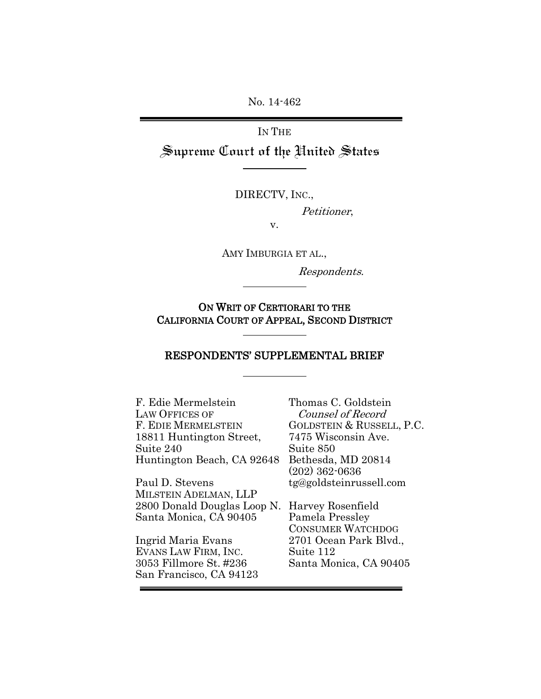No. 14-462

# IN THE Supreme Court of the United States

DIRECTV, INC.,

Petitioner,

v.

AMY IMBURGIA ET AL.,

Respondents.

## ON WRIT OF CERTIORARI TO THE CALIFORNIA COURT OF APPEAL, SECOND DISTRICT

## RESPONDENTS' SUPPLEMENTAL BRIEF

| F. Edie Mermelstein         | Thomas C. Goldstein       |
|-----------------------------|---------------------------|
| <b>LAW OFFICES OF</b>       | Counsel of Record         |
| F. EDIE MERMELSTEIN         | GOLDSTEIN & RUSSELL, P.C. |
| 18811 Huntington Street,    | 7475 Wisconsin Ave.       |
| Suite 240                   | Suite 850                 |
| Huntington Beach, CA 92648  | Bethesda, MD 20814        |
|                             | $(202)$ 362-0636          |
| Paul D. Stevens             | tg@goldsteinrussell.com   |
| MILSTEIN ADELMAN, LLP       |                           |
| 2800 Donald Douglas Loop N. | Harvey Rosenfield         |
| Santa Monica, CA 90405      | Pamela Pressley           |
|                             | <b>CONSUMER WATCHDOG</b>  |
| Ingrid Maria Evans          | 2701 Ocean Park Blvd.,    |
| EVANS LAW FIRM, INC.        | Suite 112                 |
| 3053 Fillmore St. #236      | Santa Monica, CA 90405    |
| San Francisco, CA 94123     |                           |
|                             |                           |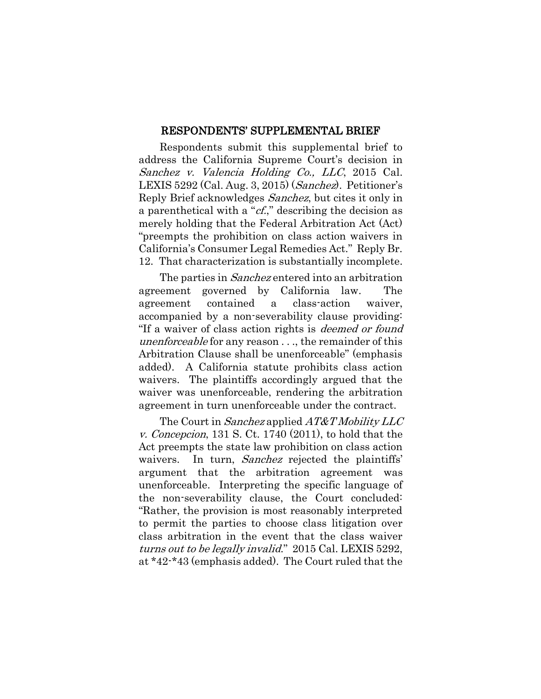### RESPONDENTS' SUPPLEMENTAL BRIEF

Respondents submit this supplemental brief to address the California Supreme Court's decision in Sanchez v. Valencia Holding Co., LLC, 2015 Cal. LEXIS 5292 (Cal. Aug. 3, 2015) (Sanchez). Petitioner's Reply Brief acknowledges Sanchez, but cites it only in a parenthetical with a "cf.," describing the decision as merely holding that the Federal Arbitration Act (Act) "preempts the prohibition on class action waivers in California's Consumer Legal Remedies Act." Reply Br. 12. That characterization is substantially incomplete.

The parties in *Sanchez* entered into an arbitration agreement governed by California law. The agreement contained a class-action waiver, accompanied by a non-severability clause providing: "If a waiver of class action rights is deemed or found unenforceable for any reason . . ., the remainder of this Arbitration Clause shall be unenforceable" (emphasis added). A California statute prohibits class action waivers. The plaintiffs accordingly argued that the waiver was unenforceable, rendering the arbitration agreement in turn unenforceable under the contract.

The Court in Sanchez applied AT&T Mobility LLC v. Concepcion, 131 S. Ct. 1740 (2011), to hold that the Act preempts the state law prohibition on class action waivers. In turn, *Sanchez* rejected the plaintiffs' argument that the arbitration agreement was unenforceable. Interpreting the specific language of the non-severability clause, the Court concluded: "Rather, the provision is most reasonably interpreted to permit the parties to choose class litigation over class arbitration in the event that the class waiver turns out to be legally invalid." 2015 Cal. LEXIS 5292, at \*42-\*43 (emphasis added). The Court ruled that the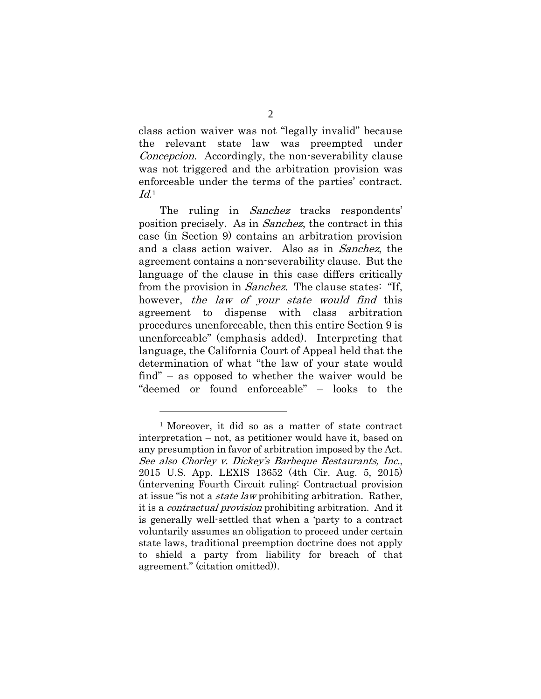class action waiver was not "legally invalid" because the relevant state law was preempted under Concepcion. Accordingly, the non-severability clause was not triggered and the arbitration provision was enforceable under the terms of the parties' contract.  $Id.$ <sup>1</sup>

The ruling in *Sanchez* tracks respondents' position precisely. As in Sanchez, the contract in this case (in Section 9) contains an arbitration provision and a class action waiver. Also as in Sanchez, the agreement contains a non-severability clause. But the language of the clause in this case differs critically from the provision in *Sanchez*. The clause states: "If, however, the law of your state would find this agreement to dispense with class arbitration procedures unenforceable, then this entire Section 9 is unenforceable" (emphasis added). Interpreting that language, the California Court of Appeal held that the determination of what "the law of your state would find" – as opposed to whether the waiver would be "deemed or found enforceable" – looks to the

1

<sup>1</sup> Moreover, it did so as a matter of state contract interpretation – not, as petitioner would have it, based on any presumption in favor of arbitration imposed by the Act. See also Chorley v. Dickey's Barbeque Restaurants, Inc., 2015 U.S. App. LEXIS 13652 (4th Cir. Aug. 5, 2015) (intervening Fourth Circuit ruling: Contractual provision at issue "is not a *state law* prohibiting arbitration. Rather, it is a contractual provision prohibiting arbitration. And it is generally well-settled that when a 'party to a contract voluntarily assumes an obligation to proceed under certain state laws, traditional preemption doctrine does not apply to shield a party from liability for breach of that agreement." (citation omitted)).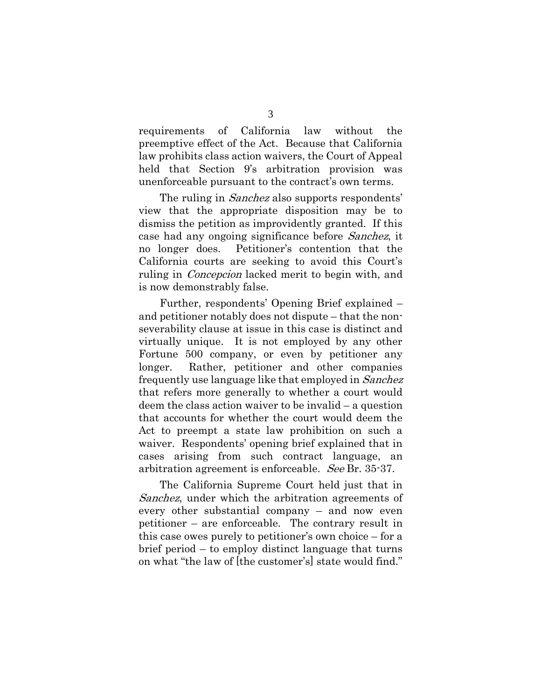requirements of California law without the preemptive effect of the Act. Because that California law prohibits class action waivers, the Court of Appeal held that Section 9's arbitration provision was unenforceable pursuant to the contract's own terms.

The ruling in *Sanchez* also supports respondents' view that the appropriate disposition may be to dismiss the petition as improvidently granted. If this case had any ongoing significance before *Sanchez*, it no longer does. Petitioner's contention that the California courts are seeking to avoid this Court's ruling in *Concepcion* lacked merit to begin with, and is now demonstrably false.

Further, respondents' Opening Brief explained – and petitioner notably does not dispute – that the nonseverability clause at issue in this case is distinct and virtually unique. It is not employed by any other Fortune 500 company, or even by petitioner any longer. Rather, petitioner and other companies frequently use language like that employed in *Sanchez* that refers more generally to whether a court would deem the class action waiver to be invalid – a question that accounts for whether the court would deem the Act to preempt a state law prohibition on such a waiver. Respondents' opening brief explained that in cases arising from such contract language, an arbitration agreement is enforceable. See Br. 35-37.

The California Supreme Court held just that in Sanchez, under which the arbitration agreements of every other substantial company – and now even petitioner – are enforceable. The contrary result in this case owes purely to petitioner's own choice – for a brief period – to employ distinct language that turns on what "the law of [the customer's] state would find."